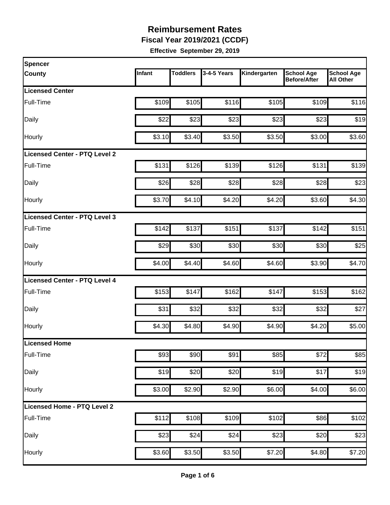**Fiscal Year 2019/2021 (CCDF)**

| Spencer                              |        |                 |             |              |                                          |                                       |
|--------------------------------------|--------|-----------------|-------------|--------------|------------------------------------------|---------------------------------------|
| <b>County</b>                        | Infant | <b>Toddlers</b> | 3-4-5 Years | Kindergarten | <b>School Age</b><br><b>Before/After</b> | <b>School Age</b><br><b>All Other</b> |
| <b>Licensed Center</b>               |        |                 |             |              |                                          |                                       |
| Full-Time                            | \$109  | \$105           | \$116       | \$105        | \$109                                    | \$116                                 |
| Daily                                | \$22   | \$23            | \$23        | \$23         | \$23                                     | \$19                                  |
| Hourly                               | \$3.10 | \$3.40          | \$3.50      | \$3.50       | \$3.00                                   | \$3.60                                |
| <b>Licensed Center - PTQ Level 2</b> |        |                 |             |              |                                          |                                       |
| Full-Time                            | \$131  | \$126           | \$139       | \$126        | \$131                                    | \$139                                 |
| Daily                                | \$26   | \$28            | \$28        | \$28         | \$28                                     | \$23                                  |
| Hourly                               | \$3.70 | \$4.10          | \$4.20      | \$4.20       | \$3.60                                   | \$4.30                                |
| Licensed Center - PTQ Level 3        |        |                 |             |              |                                          |                                       |
| Full-Time                            | \$142  | \$137           | \$151       | \$137        | \$142                                    | \$151                                 |
| Daily                                | \$29   | \$30            | \$30        | \$30         | \$30                                     | \$25                                  |
| Hourly                               | \$4.00 | \$4.40          | \$4.60      | \$4.60       | \$3.90                                   | \$4.70                                |
| <b>Licensed Center - PTQ Level 4</b> |        |                 |             |              |                                          |                                       |
| Full-Time                            | \$153  | \$147           | \$162       | \$147        | \$153                                    | \$162                                 |
| Daily                                | \$31   | \$32            | \$32        | \$32         | \$32                                     | \$27                                  |
| Hourly                               | \$4.30 | \$4.80          | \$4.90      | \$4.90       | \$4.20                                   | \$5.00                                |
| Licensed Home                        |        |                 |             |              |                                          |                                       |
| Full-Time                            | \$93   | \$90            | \$91        | \$85         | \$72                                     | \$85                                  |
| Daily                                | \$19   | \$20            | \$20        | \$19         | \$17                                     | \$19                                  |
| Hourly                               | \$3.00 | \$2.90          | \$2.90      | \$6.00       | \$4.00                                   | \$6.00                                |
| Licensed Home - PTQ Level 2          |        |                 |             |              |                                          |                                       |
| Full-Time                            | \$112  | \$108           | \$109       | \$102        | \$86                                     | \$102                                 |
| Daily                                | \$23   | \$24            | \$24        | \$23         | \$20                                     | \$23                                  |
| Hourly                               | \$3.60 | \$3.50          | \$3.50      | \$7.20       | \$4.80                                   | \$7.20                                |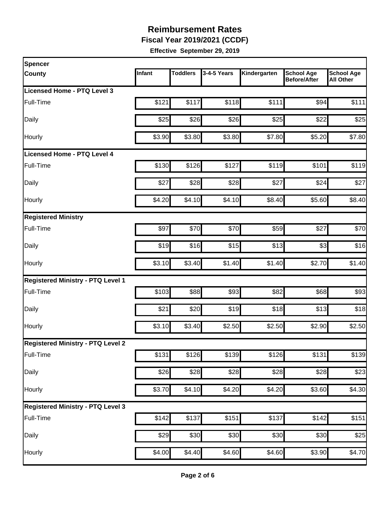**Fiscal Year 2019/2021 (CCDF)**

| <b>Spencer</b>                           |        |                 |             |              |                                          |                                       |
|------------------------------------------|--------|-----------------|-------------|--------------|------------------------------------------|---------------------------------------|
| <b>County</b>                            | Infant | <b>Toddlers</b> | 3-4-5 Years | Kindergarten | <b>School Age</b><br><b>Before/After</b> | <b>School Age</b><br><b>All Other</b> |
| Licensed Home - PTQ Level 3              |        |                 |             |              |                                          |                                       |
| Full-Time                                | \$121  | \$117           | \$118       | \$111        | \$94                                     | \$111                                 |
| Daily                                    | \$25   | \$26            | \$26        | \$25         | \$22                                     | \$25                                  |
| Hourly                                   | \$3.90 | \$3.80          | \$3.80      | \$7.80       | \$5.20                                   | \$7.80                                |
| <b>Licensed Home - PTQ Level 4</b>       |        |                 |             |              |                                          |                                       |
| Full-Time                                | \$130  | \$126           | \$127       | \$119        | \$101                                    | \$119                                 |
| Daily                                    | \$27   | \$28            | \$28        | \$27         | \$24                                     | \$27                                  |
| Hourly                                   | \$4.20 | \$4.10          | \$4.10]     | \$8.40       | \$5.60                                   | \$8.40                                |
| <b>Registered Ministry</b>               |        |                 |             |              |                                          |                                       |
| Full-Time                                | \$97   | \$70            | \$70        | \$59         | \$27                                     | \$70                                  |
| Daily                                    | \$19   | \$16            | \$15        | \$13         | \$3                                      | \$16                                  |
| Hourly                                   | \$3.10 | \$3.40          | \$1.40      | \$1.40       | \$2.70                                   | \$1.40                                |
| <b>Registered Ministry - PTQ Level 1</b> |        |                 |             |              |                                          |                                       |
| Full-Time                                | \$103  | \$88            | \$93        | \$82         | \$68                                     | \$93                                  |
| Daily                                    | \$21   | \$20            | \$19        | \$18         | \$13                                     | \$18                                  |
| Hourly                                   | \$3.10 | \$3.40          | \$2.50      | \$2.50       | \$2.90                                   | \$2.50                                |
| <b>Registered Ministry - PTQ Level 2</b> |        |                 |             |              |                                          |                                       |
| Full-Time                                | \$131  | \$126           | \$139       | \$126        | \$131                                    | \$139                                 |
| Daily                                    | \$26   | \$28            | \$28        | \$28         | \$28                                     | \$23                                  |
| Hourly                                   | \$3.70 | \$4.10          | \$4.20      | \$4.20       | \$3.60                                   | \$4.30                                |
| <b>Registered Ministry - PTQ Level 3</b> |        |                 |             |              |                                          |                                       |
| Full-Time                                | \$142  | \$137           | \$151       | \$137        | \$142                                    | \$151                                 |
| Daily                                    | \$29   | \$30            | \$30        | \$30         | \$30                                     | \$25                                  |
| Hourly                                   | \$4.00 | \$4.40          | \$4.60      | \$4.60       | \$3.90                                   | \$4.70                                |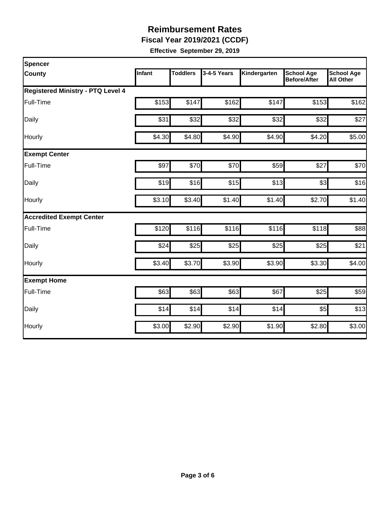**Fiscal Year 2019/2021 (CCDF)**

| Spencer                                  |               |                 |             |              |                                          |                                       |
|------------------------------------------|---------------|-----------------|-------------|--------------|------------------------------------------|---------------------------------------|
| <b>County</b>                            | <b>Infant</b> | <b>Toddlers</b> | 3-4-5 Years | Kindergarten | <b>School Age</b><br><b>Before/After</b> | <b>School Age</b><br><b>All Other</b> |
| <b>Registered Ministry - PTQ Level 4</b> |               |                 |             |              |                                          |                                       |
| Full-Time                                | \$153         | \$147           | \$162       | \$147        | \$153                                    | \$162                                 |
| Daily                                    | \$31          | \$32            | \$32        | \$32         | \$32                                     | \$27                                  |
| Hourly                                   | \$4.30        | \$4.80          | \$4.90      | \$4.90       | \$4.20                                   | \$5.00                                |
| <b>Exempt Center</b>                     |               |                 |             |              |                                          |                                       |
| Full-Time                                | \$97          | \$70            | \$70        | \$59         | \$27                                     | \$70                                  |
| Daily                                    | \$19          | \$16            | \$15        | \$13         | \$3                                      | \$16                                  |
| Hourly                                   | \$3.10        | \$3.40          | \$1.40      | \$1.40       | \$2.70                                   | \$1.40                                |
| <b>Accredited Exempt Center</b>          |               |                 |             |              |                                          |                                       |
| Full-Time                                | \$120         | \$116           | \$116       | \$116        | \$118                                    | \$88                                  |
| Daily                                    | \$24          | \$25            | \$25        | \$25         | \$25                                     | \$21                                  |
| Hourly                                   | \$3.40        | \$3.70          | \$3.90      | \$3.90       | \$3.30                                   | \$4.00                                |
| <b>Exempt Home</b>                       |               |                 |             |              |                                          |                                       |
| Full-Time                                | \$63          | \$63            | \$63        | \$67         | \$25                                     | \$59                                  |
| Daily                                    | \$14          | \$14            | \$14        | \$14         | \$5                                      | \$13                                  |
| Hourly                                   | \$3.00        | \$2.90          | \$2.90      | \$1.90       | \$2.80                                   | \$3.00                                |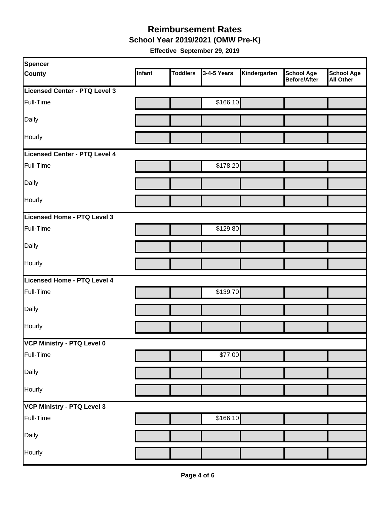**School Year 2019/2021 (OMW Pre-K)**

| Spencer                       |        |                 |             |              |                                   |                         |
|-------------------------------|--------|-----------------|-------------|--------------|-----------------------------------|-------------------------|
| <b>County</b>                 | Infant | <b>Toddlers</b> | 3-4-5 Years | Kindergarten | <b>School Age</b><br>Before/After | School Age<br>All Other |
| Licensed Center - PTQ Level 3 |        |                 |             |              |                                   |                         |
| Full-Time                     |        |                 | \$166.10    |              |                                   |                         |
| Daily                         |        |                 |             |              |                                   |                         |
| Hourly                        |        |                 |             |              |                                   |                         |
| Licensed Center - PTQ Level 4 |        |                 |             |              |                                   |                         |
| Full-Time                     |        |                 | \$178.20    |              |                                   |                         |
| Daily                         |        |                 |             |              |                                   |                         |
| Hourly                        |        |                 |             |              |                                   |                         |
| Licensed Home - PTQ Level 3   |        |                 |             |              |                                   |                         |
| Full-Time                     |        |                 | \$129.80    |              |                                   |                         |
| Daily                         |        |                 |             |              |                                   |                         |
| Hourly                        |        |                 |             |              |                                   |                         |
| Licensed Home - PTQ Level 4   |        |                 |             |              |                                   |                         |
| Full-Time                     |        |                 | \$139.70    |              |                                   |                         |
| Daily                         |        |                 |             |              |                                   |                         |
| Hourly                        |        |                 |             |              |                                   |                         |
| VCP Ministry - PTQ Level 0    |        |                 |             |              |                                   |                         |
| Full-Time                     |        |                 | \$77.00     |              |                                   |                         |
| Daily                         |        |                 |             |              |                                   |                         |
| Hourly                        |        |                 |             |              |                                   |                         |
| VCP Ministry - PTQ Level 3    |        |                 |             |              |                                   |                         |
| Full-Time                     |        |                 | \$166.10    |              |                                   |                         |
| Daily                         |        |                 |             |              |                                   |                         |
| Hourly                        |        |                 |             |              |                                   |                         |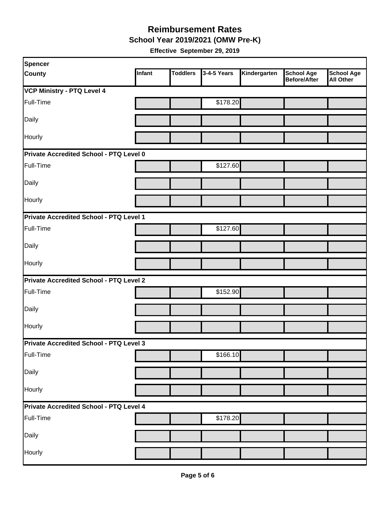**School Year 2019/2021 (OMW Pre-K)**

| Spencer                                        |        |                 |             |              |                                   |                                       |  |  |
|------------------------------------------------|--------|-----------------|-------------|--------------|-----------------------------------|---------------------------------------|--|--|
| <b>County</b>                                  | Infant | <b>Toddlers</b> | 3-4-5 Years | Kindergarten | <b>School Age</b><br>Before/After | <b>School Age</b><br><b>All Other</b> |  |  |
| <b>VCP Ministry - PTQ Level 4</b>              |        |                 |             |              |                                   |                                       |  |  |
| Full-Time                                      |        |                 | \$178.20    |              |                                   |                                       |  |  |
| Daily                                          |        |                 |             |              |                                   |                                       |  |  |
| Hourly                                         |        |                 |             |              |                                   |                                       |  |  |
| Private Accredited School - PTQ Level 0        |        |                 |             |              |                                   |                                       |  |  |
| Full-Time                                      |        |                 | \$127.60    |              |                                   |                                       |  |  |
| Daily                                          |        |                 |             |              |                                   |                                       |  |  |
| Hourly                                         |        |                 |             |              |                                   |                                       |  |  |
| Private Accredited School - PTQ Level 1        |        |                 |             |              |                                   |                                       |  |  |
| Full-Time                                      |        |                 | \$127.60    |              |                                   |                                       |  |  |
| Daily                                          |        |                 |             |              |                                   |                                       |  |  |
| Hourly                                         |        |                 |             |              |                                   |                                       |  |  |
| <b>Private Accredited School - PTQ Level 2</b> |        |                 |             |              |                                   |                                       |  |  |
| Full-Time                                      |        |                 | \$152.90    |              |                                   |                                       |  |  |
| Daily                                          |        |                 |             |              |                                   |                                       |  |  |
| Hourly                                         |        |                 |             |              |                                   |                                       |  |  |
| Private Accredited School - PTQ Level 3        |        |                 |             |              |                                   |                                       |  |  |
| Full-Time                                      |        |                 | \$166.10    |              |                                   |                                       |  |  |
| Daily                                          |        |                 |             |              |                                   |                                       |  |  |
| Hourly                                         |        |                 |             |              |                                   |                                       |  |  |
| Private Accredited School - PTQ Level 4        |        |                 |             |              |                                   |                                       |  |  |
| Full-Time                                      |        |                 | \$178.20    |              |                                   |                                       |  |  |
| Daily                                          |        |                 |             |              |                                   |                                       |  |  |
| Hourly                                         |        |                 |             |              |                                   |                                       |  |  |